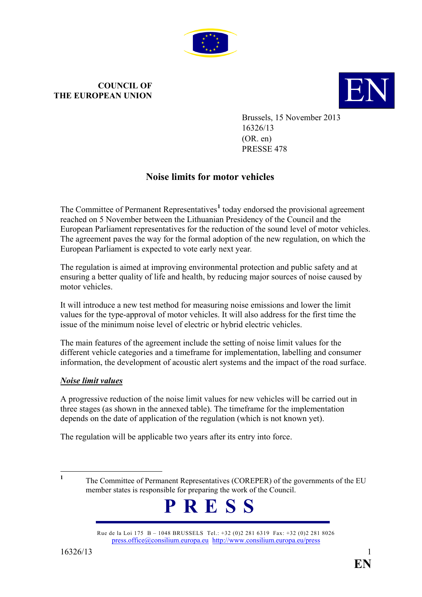

# **COUNCIL OF THE EUROPEAN UNION**



Brussels, 15 November 2013 16326/13 (OR. en) PRESSE 478

# **Noise limits for motor vehicles**

The Committee of Permanent Representatives<sup>[1](#page-0-0)</sup> today endorsed the provisional agreement reached on 5 November between the Lithuanian Presidency of the Council and the European Parliament representatives for the reduction of the sound level of motor vehicles. The agreement paves the way for the formal adoption of the new regulation, on which the European Parliament is expected to vote early next year*.*

The regulation is aimed at improving environmental protection and public safety and at ensuring a better quality of life and health, by reducing major sources of noise caused by motor vehicles.

It will introduce a new test method for measuring noise emissions and lower the limit values for the type-approval of motor vehicles. It will also address for the first time the issue of the minimum noise level of electric or hybrid electric vehicles.

The main features of the agreement include the setting of noise limit values for the different vehicle categories and a timeframe for implementation, labelling and consumer information, the development of acoustic alert systems and the impact of the road surface.

## *Noise limit values*

A progressive reduction of the noise limit values for new vehicles will be carried out in three stages (as shown in the annexed table). The timeframe for the implementation depends on the date of application of the regulation (which is not known yet).

The regulation will be applicable two years after its entry into force.

<span id="page-0-0"></span><sup>&</sup>lt;sup>1</sup> The Committee of Permanent Representatives (COREPER) of the governments of the EU member states is responsible for preparing the work of the Council.



Rue de la Loi 175 B – 1048 BRUSSELS Tel.: +32 (0)2 281 6319 Fax: +32 (0)2 281 8026 [press.office@consilium.europa.eu](mailto:press.office@consilium.europa.eu) <http://www.consilium.europa.eu/press>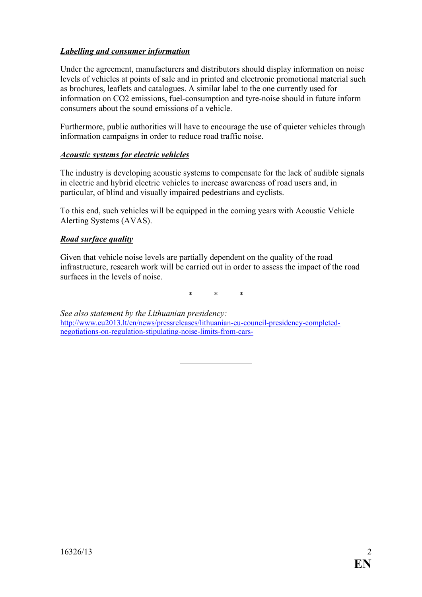### *Labelling and consumer information*

Under the agreement, manufacturers and distributors should display information on noise levels of vehicles at points of sale and in printed and electronic promotional material such as brochures, leaflets and catalogues. A similar label to the one currently used for information on CO2 emissions, fuel-consumption and tyre-noise should in future inform consumers about the sound emissions of a vehicle.

Furthermore, public authorities will have to encourage the use of quieter vehicles through information campaigns in order to reduce road traffic noise.

#### *Acoustic systems for electric vehicles*

The industry is developing acoustic systems to compensate for the lack of audible signals in electric and hybrid electric vehicles to increase awareness of road users and, in particular, of blind and visually impaired pedestrians and cyclists.

To this end, such vehicles will be equipped in the coming years with Acoustic Vehicle Alerting Systems (AVAS).

#### *Road surface quality*

Given that vehicle noise levels are partially dependent on the quality of the road infrastructure, research work will be carried out in order to assess the impact of the road surfaces in the levels of noise.

\* \* \*

*See also statement by the Lithuanian presidency:* [http://www.eu2013.lt/en/news/pressreleases/lithuanian-eu-council-presidency-completed](http://www.eu2013.lt/en/news/pressreleases/lithuanian-eu-council-presidency-completed-negotiations-on-regulation-stipulating-noise-limits-from-cars-)[negotiations-on-regulation-stipulating-noise-limits-from-cars-](http://www.eu2013.lt/en/news/pressreleases/lithuanian-eu-council-presidency-completed-negotiations-on-regulation-stipulating-noise-limits-from-cars-)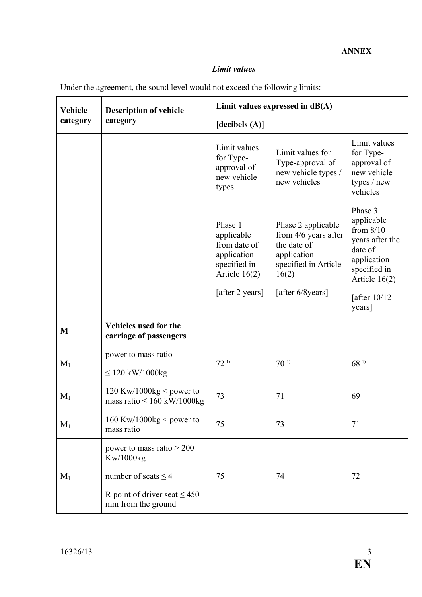## *Limit values*

| <b>Vehicle</b> | <b>Description of vehicle</b>                               | Limit values expressed in $dB(A)$                                                                          |                                                                                                                                 |                                                                                                                                                |
|----------------|-------------------------------------------------------------|------------------------------------------------------------------------------------------------------------|---------------------------------------------------------------------------------------------------------------------------------|------------------------------------------------------------------------------------------------------------------------------------------------|
| category       | category                                                    | [decibels $(A)$ ]                                                                                          |                                                                                                                                 |                                                                                                                                                |
|                |                                                             | Limit values<br>for Type-<br>approval of<br>new vehicle<br>types                                           | Limit values for<br>Type-approval of<br>new vehicle types /<br>new vehicles                                                     | Limit values<br>for Type-<br>approval of<br>new vehicle<br>types / new<br>vehicles                                                             |
|                |                                                             | Phase 1<br>applicable<br>from date of<br>application<br>specified in<br>Article $16(2)$<br>[after 2 years] | Phase 2 applicable<br>from $4/6$ years after<br>the date of<br>application<br>specified in Article<br>16(2)<br>[after 6/8years] | Phase 3<br>applicable<br>from $8/10$<br>years after the<br>date of<br>application<br>specified in<br>Article $16(2)$<br>[after 10/12<br>years] |
| M              | Vehicles used for the<br>carriage of passengers             |                                                                                                            |                                                                                                                                 |                                                                                                                                                |
| $M_1$          | power to mass ratio<br>$\leq$ 120 kW/1000kg                 | 72 <sup>1</sup>                                                                                            | 70 <sup>1</sup>                                                                                                                 | $68^{11}$                                                                                                                                      |
| $M_1$          | 120 Kw/1000kg < power to<br>mass ratio $\leq 160$ kW/1000kg | 73                                                                                                         | 71                                                                                                                              | 69                                                                                                                                             |
| $M_1$          | 160 Kw/1000kg < power to<br>mass ratio                      | 75                                                                                                         | 73                                                                                                                              | 71                                                                                                                                             |
|                | power to mass ratio $> 200$<br>Kw/1000kg                    |                                                                                                            |                                                                                                                                 |                                                                                                                                                |
| $M_1$          | number of seats $\leq$ 4                                    | 75                                                                                                         | 74                                                                                                                              | 72                                                                                                                                             |
|                | R point of driver seat $\leq 450$<br>mm from the ground     |                                                                                                            |                                                                                                                                 |                                                                                                                                                |

Under the agreement, the sound level would not exceed the following limits: